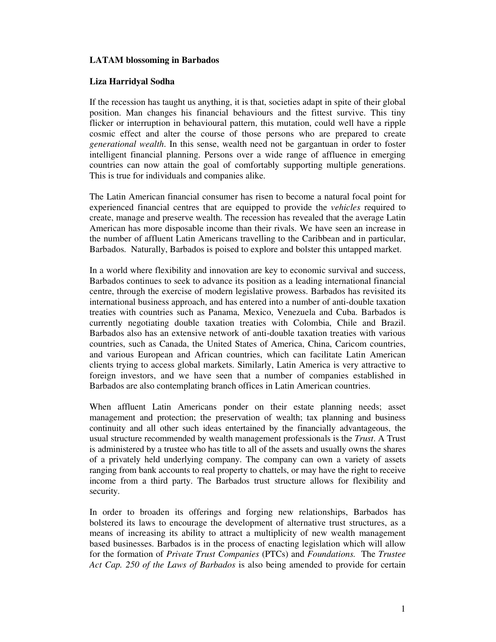## **LATAM blossoming in Barbados**

## **Liza Harridyal Sodha**

If the recession has taught us anything, it is that, societies adapt in spite of their global position. Man changes his financial behaviours and the fittest survive. This tiny flicker or interruption in behavioural pattern, this mutation, could well have a ripple cosmic effect and alter the course of those persons who are prepared to create *generational wealth*. In this sense, wealth need not be gargantuan in order to foster intelligent financial planning. Persons over a wide range of affluence in emerging countries can now attain the goal of comfortably supporting multiple generations. This is true for individuals and companies alike.

The Latin American financial consumer has risen to become a natural focal point for experienced financial centres that are equipped to provide the *vehicles* required to create, manage and preserve wealth. The recession has revealed that the average Latin American has more disposable income than their rivals. We have seen an increase in the number of affluent Latin Americans travelling to the Caribbean and in particular, Barbados. Naturally, Barbados is poised to explore and bolster this untapped market.

In a world where flexibility and innovation are key to economic survival and success, Barbados continues to seek to advance its position as a leading international financial centre, through the exercise of modern legislative prowess. Barbados has revisited its international business approach, and has entered into a number of anti-double taxation treaties with countries such as Panama, Mexico, Venezuela and Cuba. Barbados is currently negotiating double taxation treaties with Colombia, Chile and Brazil. Barbados also has an extensive network of anti-double taxation treaties with various countries, such as Canada, the United States of America, China, Caricom countries, and various European and African countries, which can facilitate Latin American clients trying to access global markets. Similarly, Latin America is very attractive to foreign investors, and we have seen that a number of companies established in Barbados are also contemplating branch offices in Latin American countries.

When affluent Latin Americans ponder on their estate planning needs; asset management and protection; the preservation of wealth; tax planning and business continuity and all other such ideas entertained by the financially advantageous, the usual structure recommended by wealth management professionals is the *Trust*. A Trust is administered by a trustee who has title to all of the assets and usually owns the shares of a privately held underlying company. The company can own a variety of assets ranging from bank accounts to real property to chattels, or may have the right to receive income from a third party. The Barbados trust structure allows for flexibility and security.

In order to broaden its offerings and forging new relationships, Barbados has bolstered its laws to encourage the development of alternative trust structures, as a means of increasing its ability to attract a multiplicity of new wealth management based businesses. Barbados is in the process of enacting legislation which will allow for the formation of *Private Trust Companies* (PTCs) and *Foundations.* The *Trustee Act Cap. 250 of the Laws of Barbados* is also being amended to provide for certain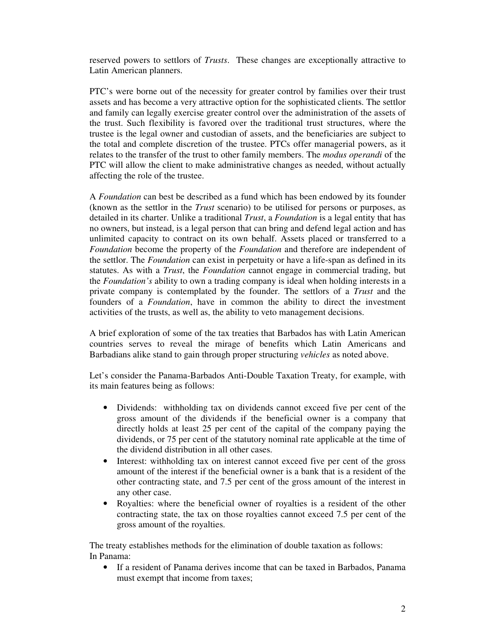reserved powers to settlors of *Trusts*. These changes are exceptionally attractive to Latin American planners.

PTC's were borne out of the necessity for greater control by families over their trust assets and has become a very attractive option for the sophisticated clients. The settlor and family can legally exercise greater control over the administration of the assets of the trust. Such flexibility is favored over the traditional trust structures, where the trustee is the legal owner and custodian of assets, and the beneficiaries are subject to the total and complete discretion of the trustee. PTCs offer managerial powers, as it relates to the transfer of the trust to other family members. The *modus operandi* of the PTC will allow the client to make administrative changes as needed, without actually affecting the role of the trustee.

A *Foundation* can best be described as a fund which has been endowed by its founder (known as the settlor in the *Trust* scenario) to be utilised for persons or purposes, as detailed in its charter. Unlike a traditional *Trust*, a *Foundation* is a legal entity that has no owners, but instead, is a legal person that can bring and defend legal action and has unlimited capacity to contract on its own behalf. Assets placed or transferred to a *Foundation* become the property of the *Foundation* and therefore are independent of the settlor. The *Foundation* can exist in perpetuity or have a life-span as defined in its statutes. As with a *Trust*, the *Foundation* cannot engage in commercial trading, but the *Foundation's* ability to own a trading company is ideal when holding interests in a private company is contemplated by the founder. The settlors of a *Trust* and the founders of a *Foundation*, have in common the ability to direct the investment activities of the trusts, as well as, the ability to veto management decisions.

A brief exploration of some of the tax treaties that Barbados has with Latin American countries serves to reveal the mirage of benefits which Latin Americans and Barbadians alike stand to gain through proper structuring *vehicles* as noted above.

Let's consider the Panama-Barbados Anti-Double Taxation Treaty, for example, with its main features being as follows:

- Dividends: withholding tax on dividends cannot exceed five per cent of the gross amount of the dividends if the beneficial owner is a company that directly holds at least 25 per cent of the capital of the company paying the dividends, or 75 per cent of the statutory nominal rate applicable at the time of the dividend distribution in all other cases.
- Interest: withholding tax on interest cannot exceed five per cent of the gross amount of the interest if the beneficial owner is a bank that is a resident of the other contracting state, and 7.5 per cent of the gross amount of the interest in any other case.
- Royalties: where the beneficial owner of royalties is a resident of the other contracting state, the tax on those royalties cannot exceed 7.5 per cent of the gross amount of the royalties.

The treaty establishes methods for the elimination of double taxation as follows: In Panama:

• If a resident of Panama derives income that can be taxed in Barbados, Panama must exempt that income from taxes;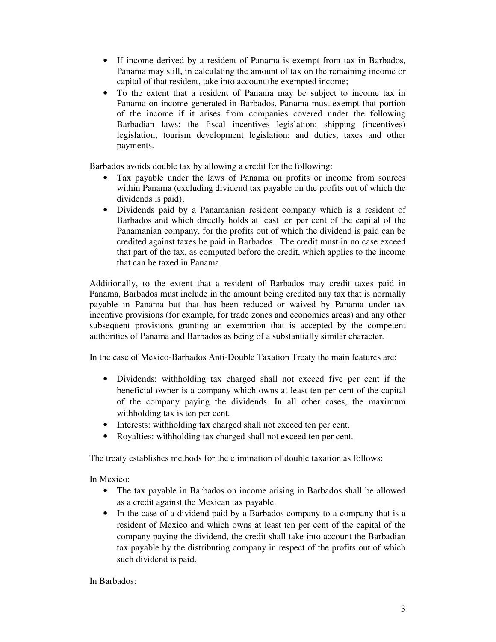- If income derived by a resident of Panama is exempt from tax in Barbados, Panama may still, in calculating the amount of tax on the remaining income or capital of that resident, take into account the exempted income;
- To the extent that a resident of Panama may be subject to income tax in Panama on income generated in Barbados, Panama must exempt that portion of the income if it arises from companies covered under the following Barbadian laws; the fiscal incentives legislation; shipping (incentives) legislation; tourism development legislation; and duties, taxes and other payments.

Barbados avoids double tax by allowing a credit for the following:

- Tax payable under the laws of Panama on profits or income from sources within Panama (excluding dividend tax payable on the profits out of which the dividends is paid);
- Dividends paid by a Panamanian resident company which is a resident of Barbados and which directly holds at least ten per cent of the capital of the Panamanian company, for the profits out of which the dividend is paid can be credited against taxes be paid in Barbados. The credit must in no case exceed that part of the tax, as computed before the credit, which applies to the income that can be taxed in Panama.

Additionally, to the extent that a resident of Barbados may credit taxes paid in Panama, Barbados must include in the amount being credited any tax that is normally payable in Panama but that has been reduced or waived by Panama under tax incentive provisions (for example, for trade zones and economics areas) and any other subsequent provisions granting an exemption that is accepted by the competent authorities of Panama and Barbados as being of a substantially similar character.

In the case of Mexico-Barbados Anti-Double Taxation Treaty the main features are:

- Dividends: withholding tax charged shall not exceed five per cent if the beneficial owner is a company which owns at least ten per cent of the capital of the company paying the dividends. In all other cases, the maximum withholding tax is ten per cent.
- Interests: withholding tax charged shall not exceed ten per cent.
- Royalties: withholding tax charged shall not exceed ten per cent.

The treaty establishes methods for the elimination of double taxation as follows:

In Mexico:

- The tax payable in Barbados on income arising in Barbados shall be allowed as a credit against the Mexican tax payable.
- In the case of a dividend paid by a Barbados company to a company that is a resident of Mexico and which owns at least ten per cent of the capital of the company paying the dividend, the credit shall take into account the Barbadian tax payable by the distributing company in respect of the profits out of which such dividend is paid.

In Barbados: